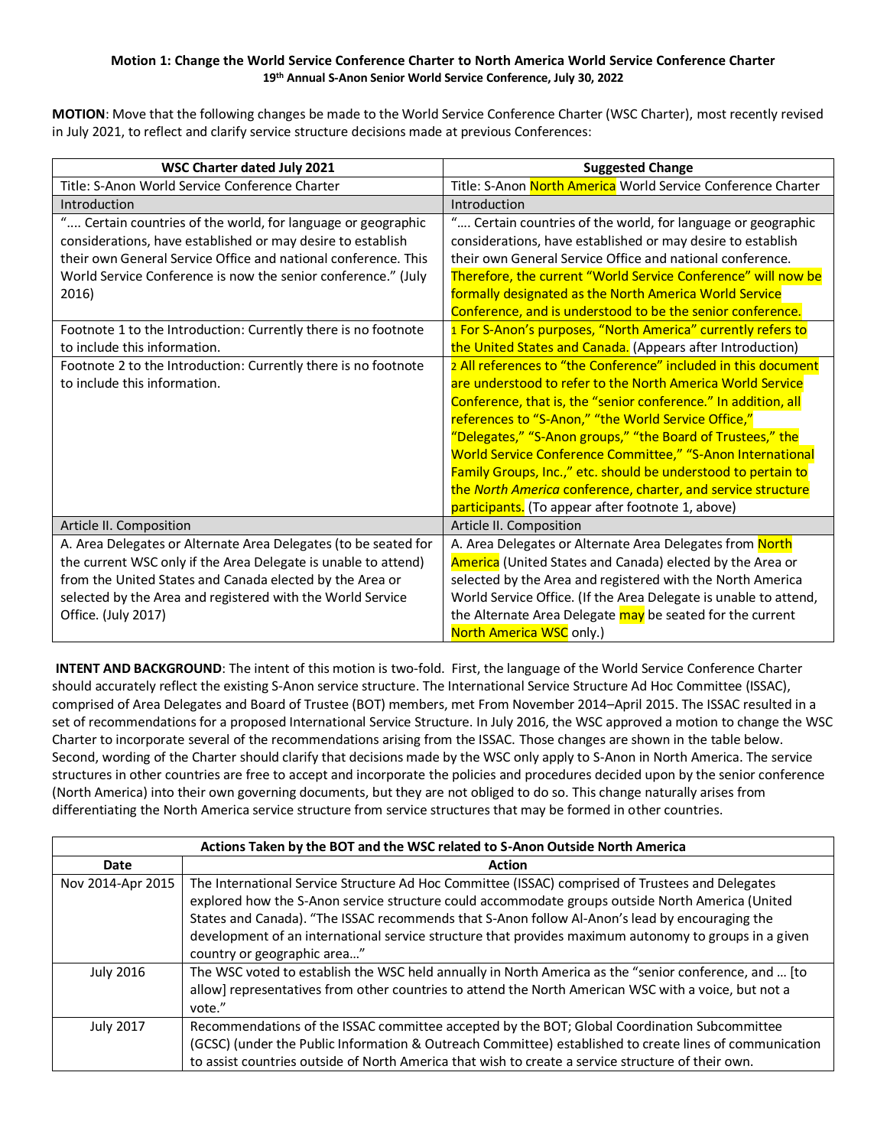## **Motion 1: Change the World Service Conference Charter to North America World Service Conference Charter 19th Annual S-Anon Senior World Service Conference, July 30, 2022**

**MOTION**: Move that the following changes be made to the World Service Conference Charter (WSC Charter), most recently revised in July 2021, to reflect and clarify service structure decisions made at previous Conferences:

| WSC Charter dated July 2021                                     | <b>Suggested Change</b>                                          |
|-----------------------------------------------------------------|------------------------------------------------------------------|
| Title: S-Anon World Service Conference Charter                  | Title: S-Anon North America World Service Conference Charter     |
| Introduction                                                    | Introduction                                                     |
| " Certain countries of the world, for language or geographic    | " Certain countries of the world, for language or geographic     |
| considerations, have established or may desire to establish     | considerations, have established or may desire to establish      |
| their own General Service Office and national conference. This  | their own General Service Office and national conference.        |
| World Service Conference is now the senior conference." (July   | Therefore, the current "World Service Conference" will now be    |
| 2016)                                                           | formally designated as the North America World Service           |
|                                                                 | Conference, and is understood to be the senior conference.       |
| Footnote 1 to the Introduction: Currently there is no footnote  | 1 For S-Anon's purposes, "North America" currently refers to     |
| to include this information.                                    | the United States and Canada. (Appears after Introduction)       |
| Footnote 2 to the Introduction: Currently there is no footnote  | 2 All references to "the Conference" included in this document   |
| to include this information.                                    | are understood to refer to the North America World Service       |
|                                                                 | Conference, that is, the "senior conference." In addition, all   |
|                                                                 | references to "S-Anon," "the World Service Office,"              |
|                                                                 | "Delegates," "S-Anon groups," "the Board of Trustees," the       |
|                                                                 | World Service Conference Committee," "S-Anon International       |
|                                                                 | Family Groups, Inc.," etc. should be understood to pertain to    |
|                                                                 | the North America conference, charter, and service structure     |
|                                                                 | participants. (To appear after footnote 1, above)                |
| Article II. Composition                                         | Article II. Composition                                          |
| A. Area Delegates or Alternate Area Delegates (to be seated for | A. Area Delegates or Alternate Area Delegates from North         |
| the current WSC only if the Area Delegate is unable to attend)  | America (United States and Canada) elected by the Area or        |
| from the United States and Canada elected by the Area or        | selected by the Area and registered with the North America       |
| selected by the Area and registered with the World Service      | World Service Office. (If the Area Delegate is unable to attend, |
| Office. (July 2017)                                             | the Alternate Area Delegate may be seated for the current        |
|                                                                 | North America WSC only.)                                         |

**INTENT AND BACKGROUND**: The intent of this motion is two-fold. First, the language of the World Service Conference Charter should accurately reflect the existing S-Anon service structure. The International Service Structure Ad Hoc Committee (ISSAC), comprised of Area Delegates and Board of Trustee (BOT) members, met From November 2014–April 2015. The ISSAC resulted in a set of recommendations for a proposed International Service Structure. In July 2016, the WSC approved a motion to change the WSC Charter to incorporate several of the recommendations arising from the ISSAC. Those changes are shown in the table below. Second, wording of the Charter should clarify that decisions made by the WSC only apply to S-Anon in North America. The service structures in other countries are free to accept and incorporate the policies and procedures decided upon by the senior conference (North America) into their own governing documents, but they are not obliged to do so. This change naturally arises from differentiating the North America service structure from service structures that may be formed in other countries.

| Actions Taken by the BOT and the WSC related to S-Anon Outside North America |                                                                                                                                                                                                                                                                                                                                                                                                                                                |
|------------------------------------------------------------------------------|------------------------------------------------------------------------------------------------------------------------------------------------------------------------------------------------------------------------------------------------------------------------------------------------------------------------------------------------------------------------------------------------------------------------------------------------|
| Date                                                                         | <b>Action</b>                                                                                                                                                                                                                                                                                                                                                                                                                                  |
| Nov 2014-Apr 2015                                                            | The International Service Structure Ad Hoc Committee (ISSAC) comprised of Trustees and Delegates<br>explored how the S-Anon service structure could accommodate groups outside North America (United<br>States and Canada). "The ISSAC recommends that S-Anon follow Al-Anon's lead by encouraging the<br>development of an international service structure that provides maximum autonomy to groups in a given<br>country or geographic area" |
| <b>July 2016</b>                                                             | The WSC voted to establish the WSC held annually in North America as the "senior conference, and  [to<br>allow] representatives from other countries to attend the North American WSC with a voice, but not a<br>vote."                                                                                                                                                                                                                        |
| <b>July 2017</b>                                                             | Recommendations of the ISSAC committee accepted by the BOT; Global Coordination Subcommittee<br>(GCSC) (under the Public Information & Outreach Committee) established to create lines of communication<br>to assist countries outside of North America that wish to create a service structure of their own.                                                                                                                                  |